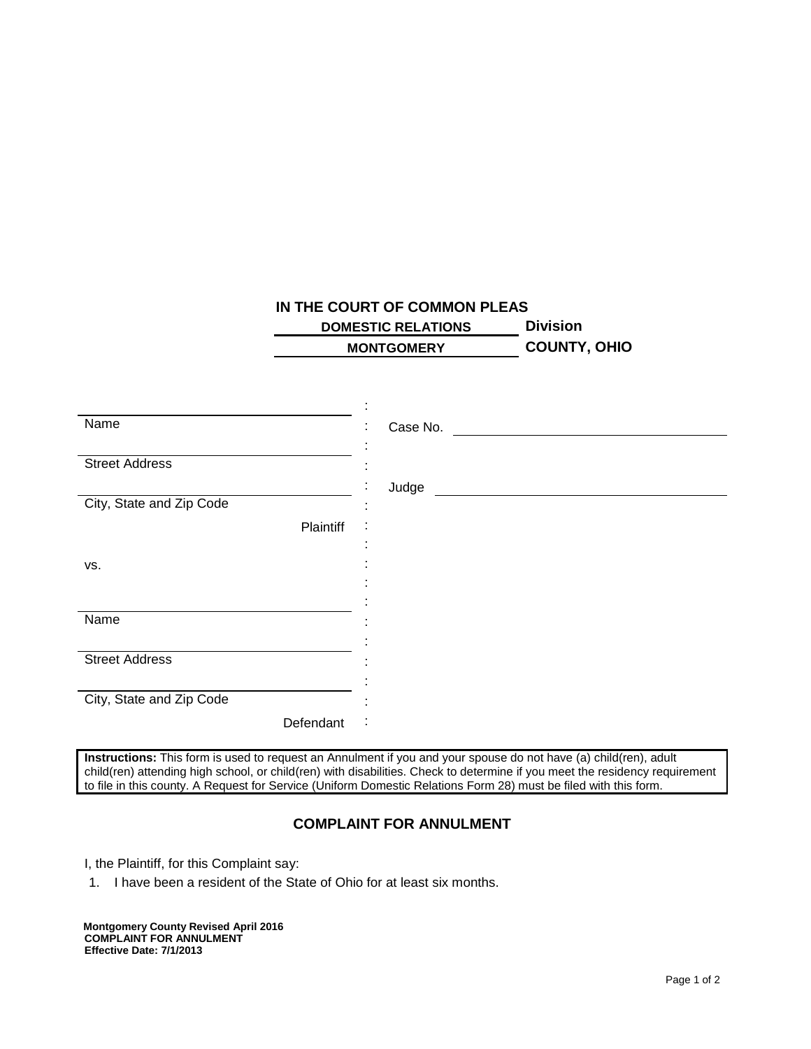## **IN THE COURT OF COMMON PLEAS**

**DOMESTIC RELATIONS Division MONTGOMERY COUNTY, OHIO**

| Name                     | Case No.<br>$\blacksquare$ |
|--------------------------|----------------------------|
|                          |                            |
| <b>Street Address</b>    |                            |
|                          | Judge                      |
| City, State and Zip Code |                            |
| Plaintiff                |                            |
|                          |                            |
| VS.                      |                            |
|                          |                            |
|                          |                            |
| Name                     |                            |
|                          |                            |
| <b>Street Address</b>    |                            |
|                          |                            |
| City, State and Zip Code |                            |
|                          |                            |
| Defendant                | ÷                          |

**Instructions:** This form is used to request an Annulment if you and your spouse do not have (a) child(ren), adult child(ren) attending high school, or child(ren) with disabilities. Check to determine if you meet the residency requirement to file in this county. A Request for Service (Uniform Domestic Relations Form 28) must be filed with this form.

## **COMPLAINT FOR ANNULMENT**

I, the Plaintiff, for this Complaint say:

1. I have been a resident of the State of Ohio for at least six months.

**Montgomery County Revised April 2016 COMPLAINT FOR ANNULMENT Effective Date: 7/1/2013**